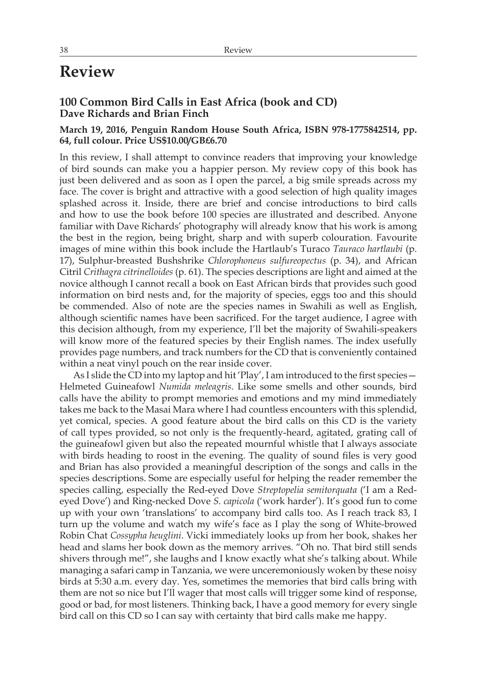## **Review**

## **100 Common Bird Calls in East Africa (book and CD) Dave Richards and Brian Finch**

## **March 19, 2016, Penguin Random House South Africa, ISBN 978-1775842514, pp. 64, full colour. Price US\$10.00/GB£6.70**

In this review, I shall attempt to convince readers that improving your knowledge of bird sounds can make you a happier person. My review copy of this book has just been delivered and as soon as I open the parcel, a big smile spreads across my face. The cover is bright and attractive with a good selection of high quality images splashed across it. Inside, there are brief and concise introductions to bird calls and how to use the book before 100 species are illustrated and described. Anyone familiar with Dave Richards' photography will already know that his work is among the best in the region, being bright, sharp and with superb colouration. Favourite images of mine within this book include the Hartlaub's Turaco *Tauraco hartlaubi* (p. 17), Sulphur-breasted Bushshrike *Chlorophoneus sulfureopectus* (p. 34), and African Citril *Crithagra citrinelloides* (p. 61). The species descriptions are light and aimed at the novice although I cannot recall a book on East African birds that provides such good information on bird nests and, for the majority of species, eggs too and this should be commended. Also of note are the species names in Swahili as well as English, although scientific names have been sacrificed. For the target audience, I agree with this decision although, from my experience, I'll bet the majority of Swahili-speakers will know more of the featured species by their English names. The index usefully provides page numbers, and track numbers for the CD that is conveniently contained within a neat vinyl pouch on the rear inside cover.

As I slide the CD into my laptop and hit 'Play', I am introduced to the first species— Helmeted Guineafowl *Numida meleagris*. Like some smells and other sounds, bird calls have the ability to prompt memories and emotions and my mind immediately takes me back to the Masai Mara where I had countless encounters with this splendid, yet comical, species. A good feature about the bird calls on this CD is the variety of call types provided, so not only is the frequently-heard, agitated, grating call of the guineafowl given but also the repeated mournful whistle that I always associate with birds heading to roost in the evening. The quality of sound files is very good and Brian has also provided a meaningful description of the songs and calls in the species descriptions. Some are especially useful for helping the reader remember the species calling, especially the Red-eyed Dove *Streptopelia semitorquata* ('I am a Redeyed Dove') and Ring-necked Dove *S. capicola* ('work harder'). It's good fun to come up with your own 'translations' to accompany bird calls too. As I reach track 83, I turn up the volume and watch my wife's face as I play the song of White-browed Robin Chat *Cossypha heuglini*. Vicki immediately looks up from her book, shakes her head and slams her book down as the memory arrives. "Oh no. That bird still sends shivers through me!", she laughs and I know exactly what she's talking about. While managing a safari camp in Tanzania, we were unceremoniously woken by these noisy birds at 5:30 a.m. every day. Yes, sometimes the memories that bird calls bring with them are not so nice but I'll wager that most calls will trigger some kind of response, good or bad, for most listeners. Thinking back, I have a good memory for every single bird call on this CD so I can say with certainty that bird calls make me happy.